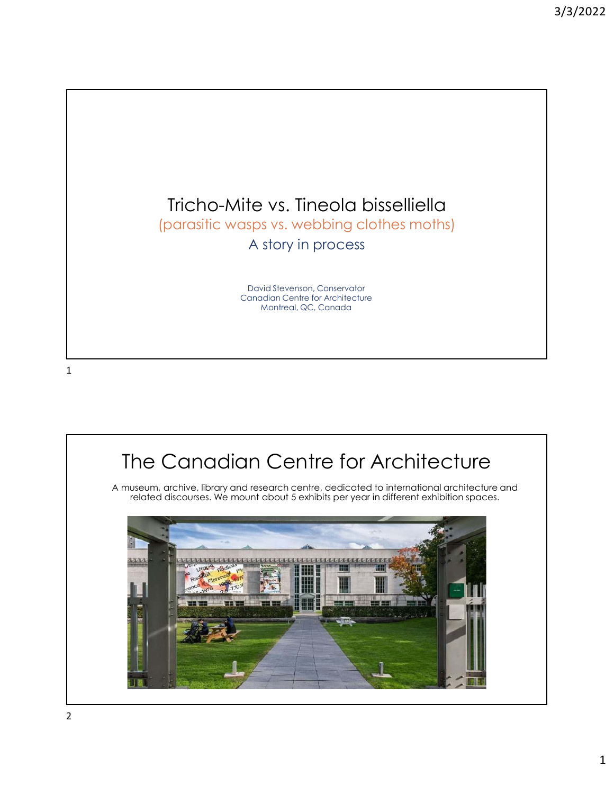



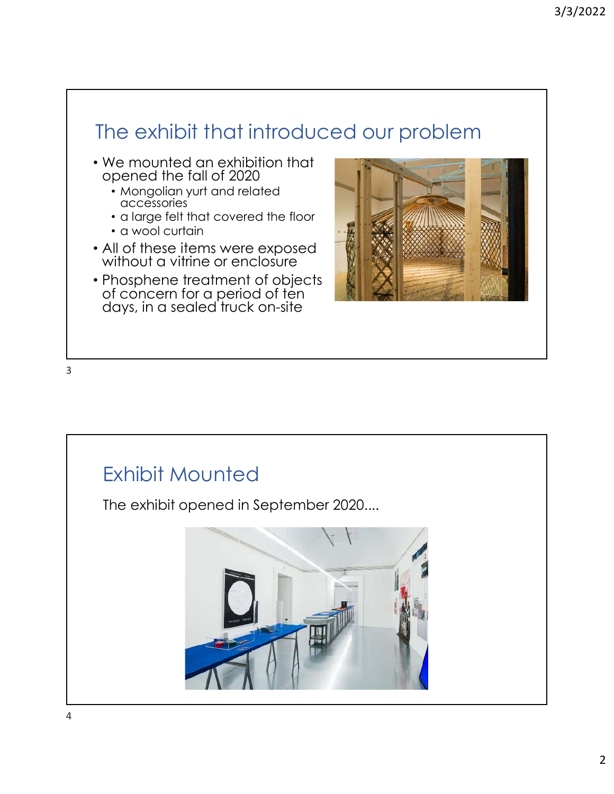# The exhibit that introduced our problem

- We mounted an exhibition that opened the fall of 2020
	- Mongolian yurt and related accessories
	- a large felt that covered the floor
	- a wool curtain
- All of these items were exposed without a vitrine or enclosure
- Phosphene treatment of objects of concern for a period of ten days, in a sealed truck on-site



3

# Exhibit Mounted

The exhibit opened in September 2020....

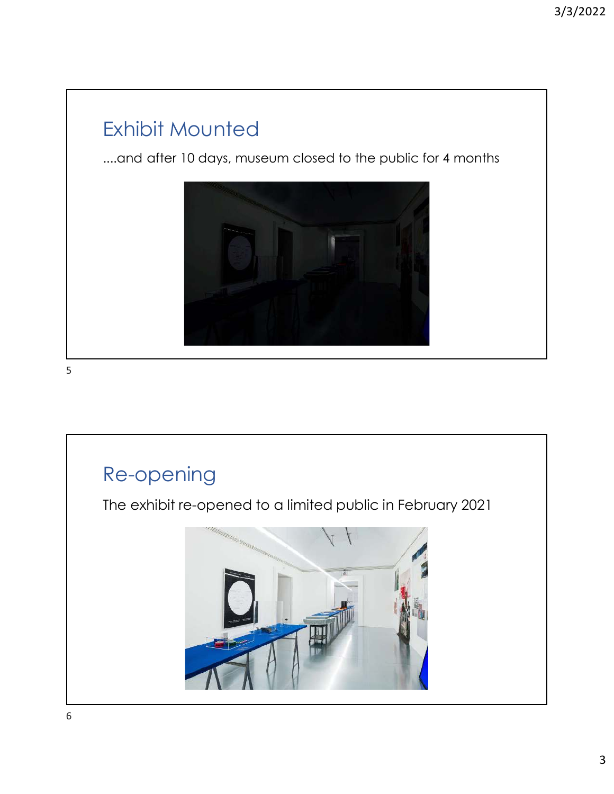### Exhibit Mounted

....and after 10 days, museum closed to the public for 4 months



5

#### Re-opening

The exhibit re-opened to a limited public in February 2021

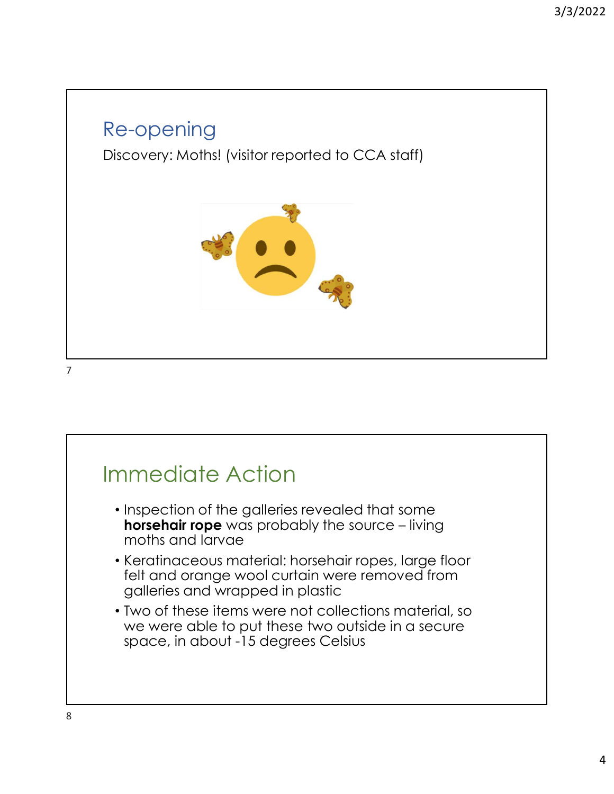#### Re-opening

Discovery: Moths! (visitor reported to CCA staff)



7

# Immediate Action

- Inspection of the galleries revealed that some horsehair rope was probably the source – living moths and larvae
- Keratinaceous material: horsehair ropes, large floor felt and orange wool curtain were removed from galleries and wrapped in plastic
- Two of these items were not collections material, so we were able to put these two outside in a secure space, in about -15 degrees Celsius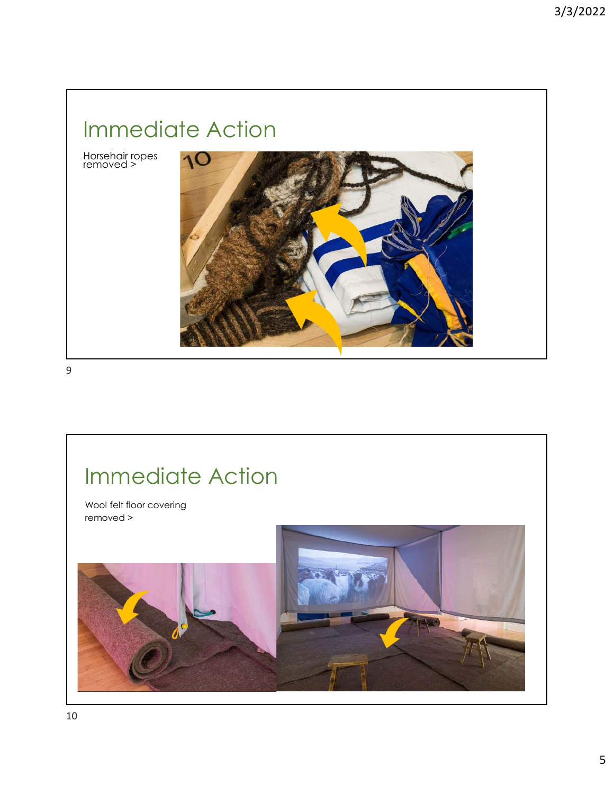# Immediate Action

Horsehair ropes removed >



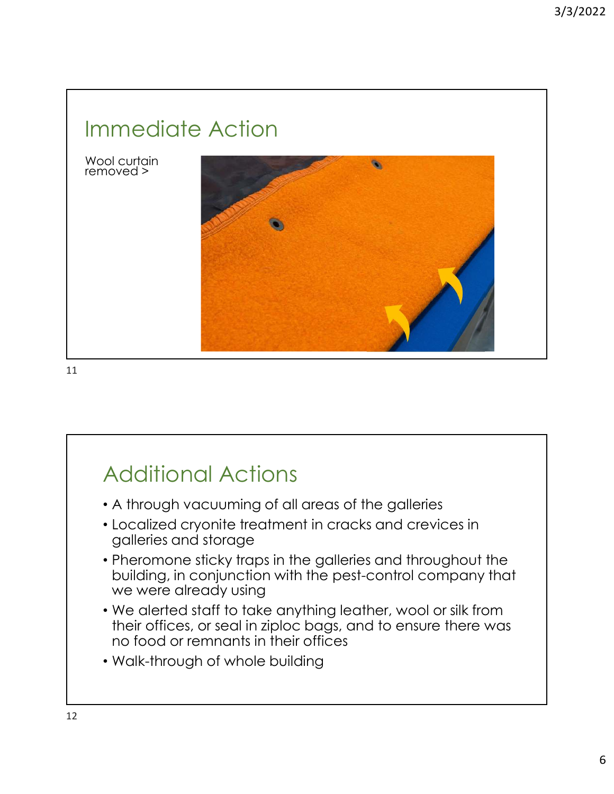# Immediate Action

Wool curtain removed >



11

### Additional Actions

- A through vacuuming of all areas of the galleries
- Localized cryonite treatment in cracks and crevices in galleries and storage
- Pheromone sticky traps in the galleries and throughout the building, in conjunction with the pest-control company that we were already using
- We alerted staff to take anything leather, wool or silk from their offices, or seal in ziploc bags, and to ensure there was no food or remnants in their offices
- Walk-through of whole building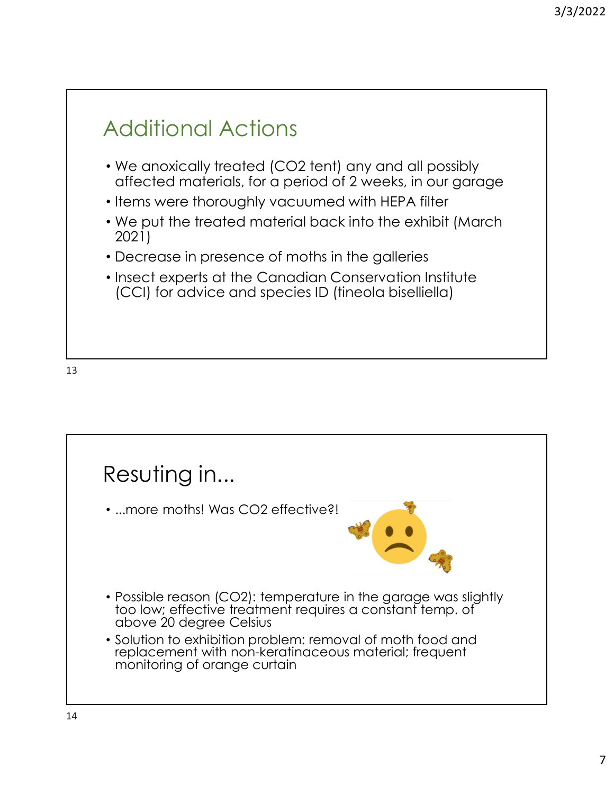## Additional Actions

- We anoxically treated (CO2 tent) any and all possibly affected materials, for a period of 2 weeks, in our garage
- Items were thoroughly vacuumed with HEPA filter
- We put the treated material back into the exhibit (March 2021)
- Decrease in presence of moths in the galleries
- Insect experts at the Canadian Conservation Institute (CCI) for advice and species ID (tineola biselliella)

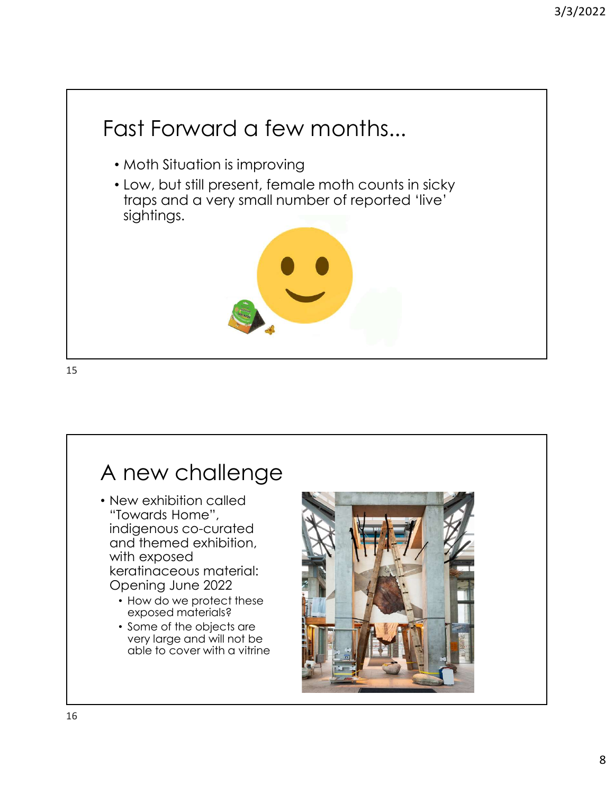

#### A new challenge

- New exhibition called "Towards Home", indigenous co-curated and themed exhibition, with exposed keratinaceous material: Opening June 2022
	- How do we protect these exposed materials?
	- Some of the objects are very large and will not be able to cover with a vitrine

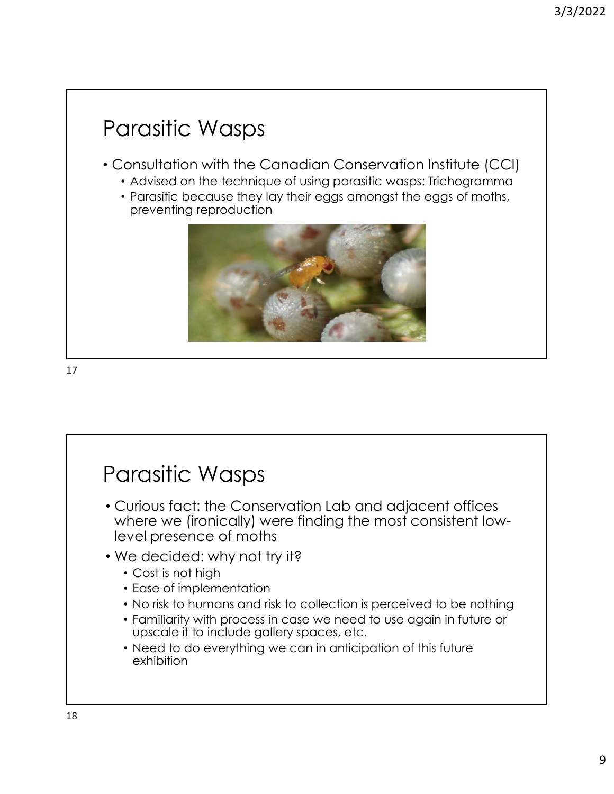### Parasitic Wasps

- Consultation with the Canadian Conservation Institute (CCI)
	- Advised on the technique of using parasitic wasps: Trichogramma
	- Parasitic because they lay their eggs amongst the eggs of moths, preventing reproduction



#### Parasitic Wasps

- Curious fact: the Conservation Lab and adjacent offices where we (ironically) were finding the most consistent lowlevel presence of moths
- We decided: why not try it?
	- Cost is not high
	- Ease of implementation
	- No risk to humans and risk to collection is perceived to be nothing
	- Familiarity with process in case we need to use again in future or upscale it to include gallery spaces, etc.
	- Need to do everything we can in anticipation of this future exhibition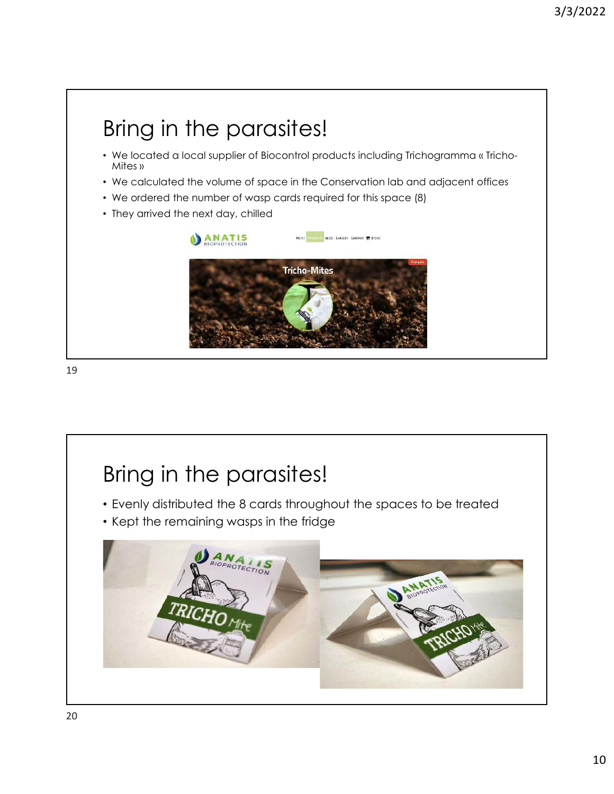

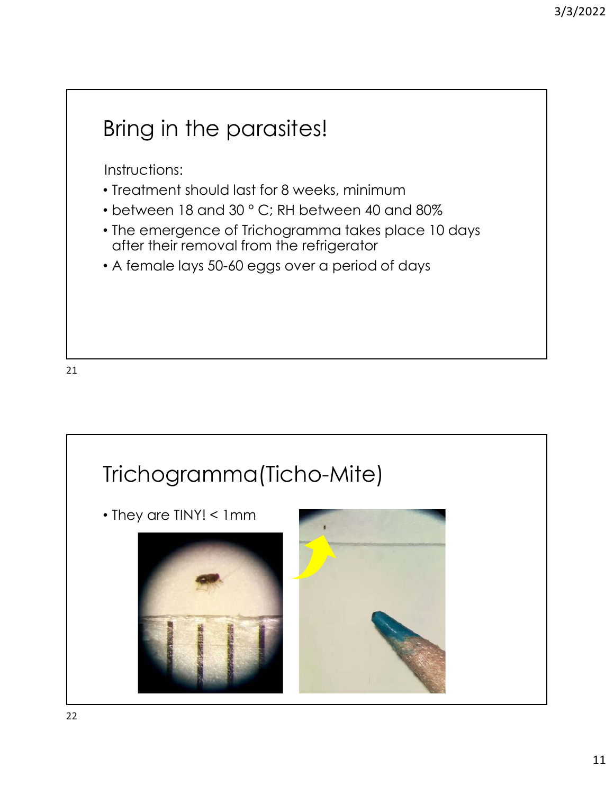## Bring in the parasites!

Instructions:

- Treatment should last for 8 weeks, minimum
- between 18 and 30 ° C; RH between 40 and 80%
- The emergence of Trichogramma takes place 10 days after their removal from the refrigerator
- A female lays 50-60 eggs over a period of days

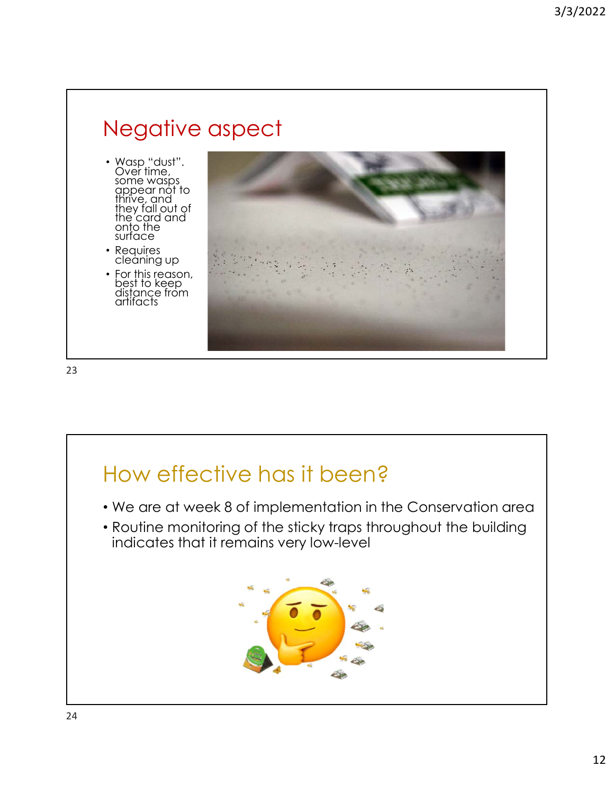### Negative aspect

- Wasp "dust". Ove'r time, some wasps appear not to thrive, and they fall out of the card and onto the surface
- Requires cleaning up
- For this reason, best to keep distance from artifacts



23

#### How effective has it been?

- We are at week 8 of implementation in the Conservation area
- Routine monitoring of the sticky traps throughout the building indicates that it remains very low-level

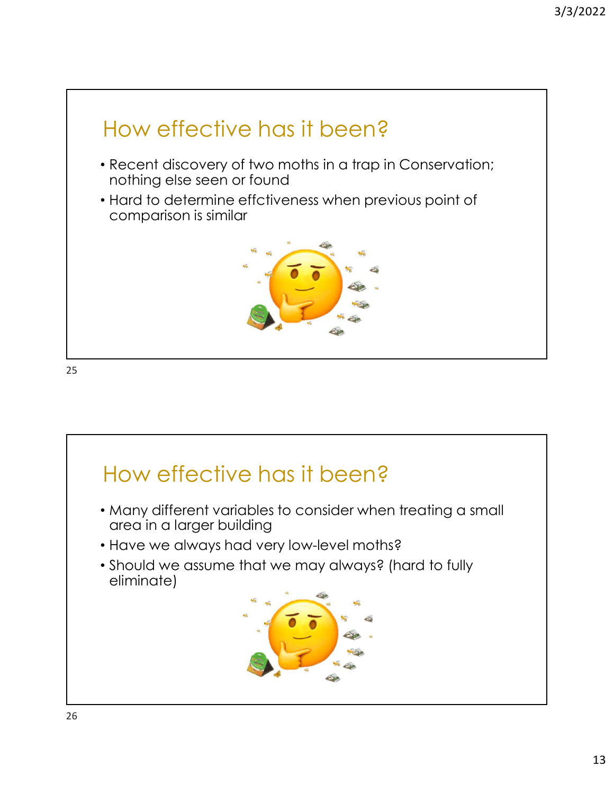

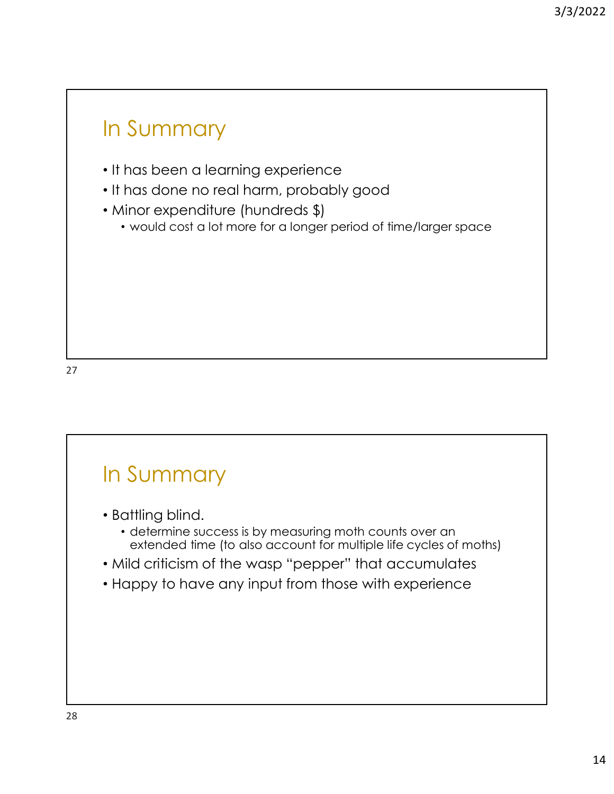#### In Summary

- It has been a learning experience
- It has done no real harm, probably good
- Minor expenditure (hundreds \$)
	- would cost a lot more for a longer period of time/larger space